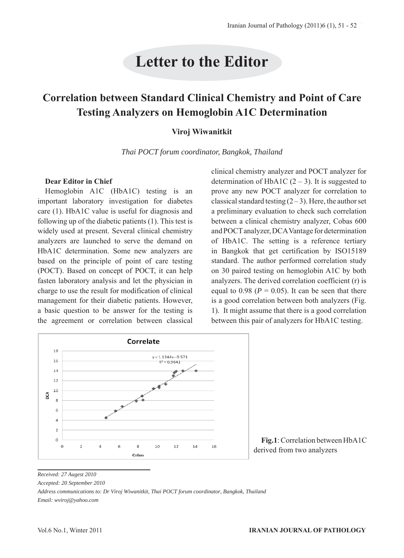# **Letter to the Editor**

# **Correlation between Standard Clinical Chemistry and Point of Care Testing Analyzers on Hemoglobin A1C Determination**

#### **Viroj Wiwanitkit**

*Thai POCT forum coordinator, Bangkok, Thailand*

#### **Dear Editor in Chief**

Hemoglobin A1C (HbA1C) testing is an important laboratory investigation for diabetes care (1). HbA1C value is useful for diagnosis and following up of the diabetic patients (1). This test is widely used at present. Several clinical chemistry analyzers are launched to serve the demand on HbA1C determination. Some new analyzers are based on the principle of point of care testing (POCT). Based on concept of POCT, it can help fasten laboratory analysis and let the physician in charge to use the result for modification of clinical management for their diabetic patients. However, a basic question to be answer for the testing is the agreement or correlation between classical

clinical chemistry analyzer and POCT analyzer for determination of HbA1C  $(2 – 3)$ . It is suggested to prove any new POCT analyzer for correlation to classical standard testing  $(2-3)$ . Here, the author set a preliminary evaluation to check such correlation between a clinical chemistry analyzer, Cobas 600 and POCT analyzer, DCA Vantage for determination of HbA1C. The setting is a reference tertiary in Bangkok that get certification by ISO15189 standard. The author performed correlation study on 30 paired testing on hemoglobin A1C by both analyzers. The derived correlation coefficient (r) is equal to  $0.98$  ( $P = 0.05$ ). It can be seen that there is a good correlation between both analyzers (Fig. 1). It might assume that there is a good correlation between this pair of analyzers for HbA1C testing.



**Fig.1**: Correlation between HbA1C derived from two analyzers

*Received: 27 Augest 2010*

*Accepted: 20 September 2010*

*Address communications to: Dr Viroj Wiwanitkit, Thai POCT forum coordinator, Bangkok, Thailand Email: wviroj@yahoo.com*